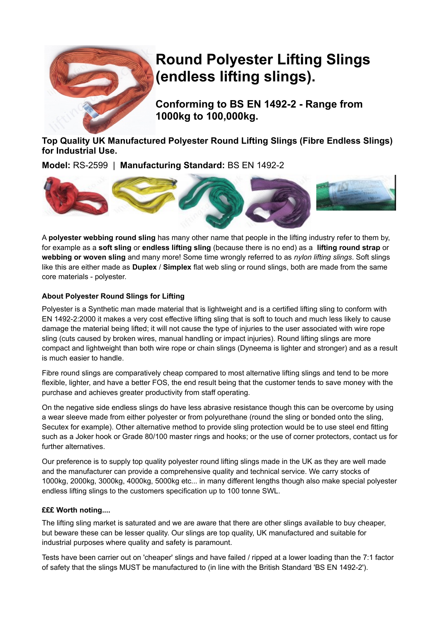

# **Round Polyester Lifting Slings (endless lifting slings).**

**Conforming to BS EN 1492-2 - Range from 1000kg to 100,000kg.** 

**Top Quality UK Manufactured Polyester Round Lifting Slings (Fibre Endless Slings) for Industrial Use.**

**Model:** RS-2599 | **Manufacturing Standard:** BS EN 1492-2



A **polyester webbing round sling** has many other name that people in the lifting industry refer to them by, for example as a **soft sling** or **endless lifting sling** (because there is no end) as a **lifting round strap** or **webbing or woven sling** and many more! Some time wrongly referred to as *nylon lifting slings*. Soft slings like this are either made as **Duplex** / **Simplex** flat web sling or round slings, both are made from the same core materials - polyester.

#### **About Polyester Round Slings for Lifting**

Polyester is a Synthetic man made material that is lightweight and is a certified lifting sling to conform with EN 1492-2:2000 it makes a very cost effective lifting sling that is soft to touch and much less likely to cause damage the material being lifted; it will not cause the type of injuries to the user associated with wire rope sling (cuts caused by broken wires, manual handling or impact injuries). Round lifting slings are more compact and lightweight than both wire rope or chain slings (Dyneema is lighter and stronger) and as a result is much easier to handle.

Fibre round slings are comparatively cheap compared to most alternative lifting slings and tend to be more flexible, lighter, and have a better FOS, the end result being that the customer tends to save money with the purchase and achieves greater productivity from staff operating.

On the negative side endless slings do have less abrasive resistance though this can be overcome by using a wear sleeve made from either polyester or from polyurethane (round the sling or bonded onto the sling, Secutex for example). Other alternative method to provide sling protection would be to use steel end fitting such as a Joker hook or Grade 80/100 master rings and hooks; or the use of corner protectors, contact us for further alternatives.

Our preference is to supply top quality polyester round lifting slings made in the UK as they are well made and the manufacturer can provide a comprehensive quality and technical service. We carry stocks of 1000kg, 2000kg, 3000kg, 4000kg, 5000kg etc... in many different lengths though also make special polyester endless lifting slings to the customers specification up to 100 tonne SWL.

#### **£££ Worth noting....**

The lifting sling market is saturated and we are aware that there are other slings available to buy cheaper, but beware these can be lesser quality. Our slings are top quality, UK manufactured and suitable for industrial purposes where quality and safety is paramount.

Tests have been carrier out on 'cheaper' slings and have failed / ripped at a lower loading than the 7:1 factor of safety that the slings MUST be manufactured to (in line with the British Standard 'BS EN 1492-2').